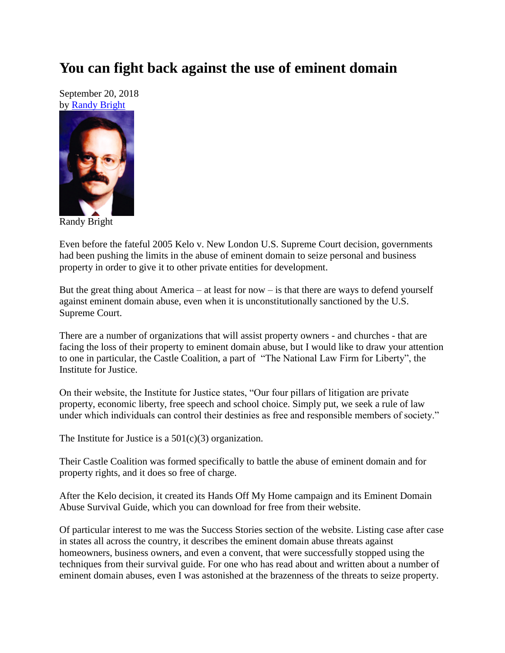## **You can fight back against the use of eminent domain**

September 20, 2018 by [Randy Bright](http://tulsabeacon.com/writers/randy-bright/)



Randy Bright

Even before the fateful 2005 Kelo v. New London U.S. Supreme Court decision, governments had been pushing the limits in the abuse of eminent domain to seize personal and business property in order to give it to other private entities for development.

But the great thing about America – at least for now – is that there are ways to defend yourself against eminent domain abuse, even when it is unconstitutionally sanctioned by the U.S. Supreme Court.

There are a number of organizations that will assist property owners - and churches - that are facing the loss of their property to eminent domain abuse, but I would like to draw your attention to one in particular, the Castle Coalition, a part of "The National Law Firm for Liberty", the Institute for Justice.

On their website, the Institute for Justice states, "Our four pillars of litigation are private property, economic liberty, free speech and school choice. Simply put, we seek a rule of law under which individuals can control their destinies as free and responsible members of society."

The Institute for Justice is a  $501(c)(3)$  organization.

Their Castle Coalition was formed specifically to battle the abuse of eminent domain and for property rights, and it does so free of charge.

After the Kelo decision, it created its Hands Off My Home campaign and its Eminent Domain Abuse Survival Guide, which you can download for free from their website.

Of particular interest to me was the Success Stories section of the website. Listing case after case in states all across the country, it describes the eminent domain abuse threats against homeowners, business owners, and even a convent, that were successfully stopped using the techniques from their survival guide. For one who has read about and written about a number of eminent domain abuses, even I was astonished at the brazenness of the threats to seize property.